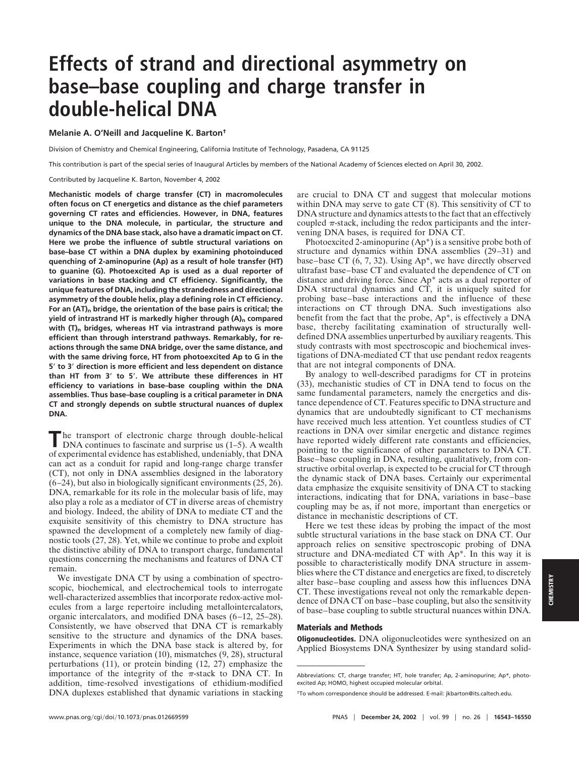# **Effects of strand and directional asymmetry on base–base coupling and charge transfer in double-helical DNA**

### **Melanie A. O'Neill and Jacqueline K. Barton†**

Division of Chemistry and Chemical Engineering, California Institute of Technology, Pasadena, CA 91125

This contribution is part of the special series of Inaugural Articles by members of the National Academy of Sciences elected on April 30, 2002.

Contributed by Jacqueline K. Barton, November 4, 2002

**Mechanistic models of charge transfer (CT) in macromolecules often focus on CT energetics and distance as the chief parameters governing CT rates and efficiencies. However, in DNA, features unique to the DNA molecule, in particular, the structure and dynamics of the DNA base stack, also have a dramatic impact on CT. Here we probe the influence of subtle structural variations on base–base CT within a DNA duplex by examining photoinduced quenching of 2-aminopurine (Ap) as a result of hole transfer (HT) to guanine (G). Photoexcited Ap is used as a dual reporter of variations in base stacking and CT efficiency. Significantly, the unique features of DNA, including the strandedness and directional asymmetry of the double helix, play a defining role in CT efficiency.** For an (AT)<sub>n</sub> bridge, the orientation of the base pairs is critical; the **yield of intrastrand HT is markedly higher through (A)<sub>n</sub> compared** with (T)<sub>n</sub> bridges, whereas HT via intrastrand pathways is more **efficient than through interstrand pathways. Remarkably, for reactions through the same DNA bridge, over the same distance, and with the same driving force, HT from photoexcited Ap to G in the 5 to 3 direction is more efficient and less dependent on distance than HT from 3 to 5. We attribute these differences in HT efficiency to variations in base–base coupling within the DNA assemblies. Thus base–base coupling is a critical parameter in DNA CT and strongly depends on subtle structural nuances of duplex DNA.**

The transport of electronic charge through double-helical<br>DNA continues to fascinate and surprise us (1–5). A wealth of experimental evidence has established, undeniably, that DNA can act as a conduit for rapid and long-range charge transfer (CT), not only in DNA assemblies designed in the laboratory (6–24), but also in biologically significant environments (25, 26). DNA, remarkable for its role in the molecular basis of life, may also play a role as a mediator of CT in diverse areas of chemistry and biology. Indeed, the ability of DNA to mediate CT and the exquisite sensitivity of this chemistry to DNA structure has spawned the development of a completely new family of diagnostic tools (27, 28). Yet, while we continue to probe and exploit the distinctive ability of DNA to transport charge, fundamental questions concerning the mechanisms and features of DNA CT remain.

We investigate DNA CT by using a combination of spectroscopic, biochemical, and electrochemical tools to interrogate well-characterized assemblies that incorporate redox-active molecules from a large repertoire including metallointercalators, organic intercalators, and modified DNA bases (6–12, 25–28). Consistently, we have observed that DNA CT is remarkably sensitive to the structure and dynamics of the DNA bases. Experiments in which the DNA base stack is altered by, for instance, sequence variation (10), mismatches (9, 28), structural perturbations (11), or protein binding (12, 27) emphasize the importance of the integrity of the  $\pi$ -stack to DNA CT. In addition, time-resolved investigations of ethidium-modified DNA duplexes established that dynamic variations in stacking are crucial to DNA CT and suggest that molecular motions within DNA may serve to gate  $CT(8)$ . This sensitivity of CT to DNA structure and dynamics attests to the fact that an effectively coupled  $\pi$ -stack, including the redox participants and the intervening DNA bases, is required for DNA CT.

Photoexcited 2-aminopurine (Ap\*) is a sensitive probe both of structure and dynamics within DNA assemblies (29–31) and base–base CT  $(6, 7, 32)$ . Using Ap<sup>\*</sup>, we have directly observed ultrafast base–base CT and evaluated the dependence of CT on distance and driving force. Since Ap\* acts as a dual reporter of DNA structural dynamics and CT, it is uniquely suited for probing base–base interactions and the influence of these interactions on CT through DNA. Such investigations also benefit from the fact that the probe, Ap\*, is effectively a DNA base, thereby facilitating examination of structurally welldefined DNA assemblies unperturbed by auxiliary reagents. This study contrasts with most spectroscopic and biochemical investigations of DNA-mediated CT that use pendant redox reagents that are not integral components of DNA.

By analogy to well-described paradigms for CT in proteins (33), mechanistic studies of CT in DNA tend to focus on the same fundamental parameters, namely the energetics and distance dependence of CT. Features specific to DNA structure and dynamics that are undoubtedly significant to CT mechanisms have received much less attention. Yet countless studies of CT reactions in DNA over similar energetic and distance regimes have reported widely different rate constants and efficiencies, pointing to the significance of other parameters to DNA CT. Base–base coupling in DNA, resulting, qualitatively, from constructive orbital overlap, is expected to be crucial for CT through the dynamic stack of DNA bases. Certainly our experimental data emphasize the exquisite sensitivity of DNA CT to stacking interactions, indicating that for DNA, variations in base–base coupling may be as, if not more, important than energetics or distance in mechanistic descriptions of CT.

Here we test these ideas by probing the impact of the most subtle structural variations in the base stack on DNA CT. Our approach relies on sensitive spectroscopic probing of DNA structure and DNA-mediated CT with Ap\*. In this way it is possible to characteristically modify DNA structure in assemblies where the CT distance and energetics are fixed, to discretely alter base–base coupling and assess how this influences DNA CT. These investigations reveal not only the remarkable dependence of DNA CT on base–base coupling, but also the sensitivity of base–base coupling to subtle structural nuances within DNA.

#### **Materials and Methods**

**Oligonucleotides.** DNA oligonucleotides were synthesized on an Applied Biosystems DNA Synthesizer by using standard solid-

Abbreviations: CT, charge transfer; HT, hole transfer; Ap, 2-aminopurine; Ap\*, photoexcited Ap; HOMO, highest occupied molecular orbital.

<sup>†</sup>To whom correspondence should be addressed. E-mail: jkbarton@its.caltech.edu.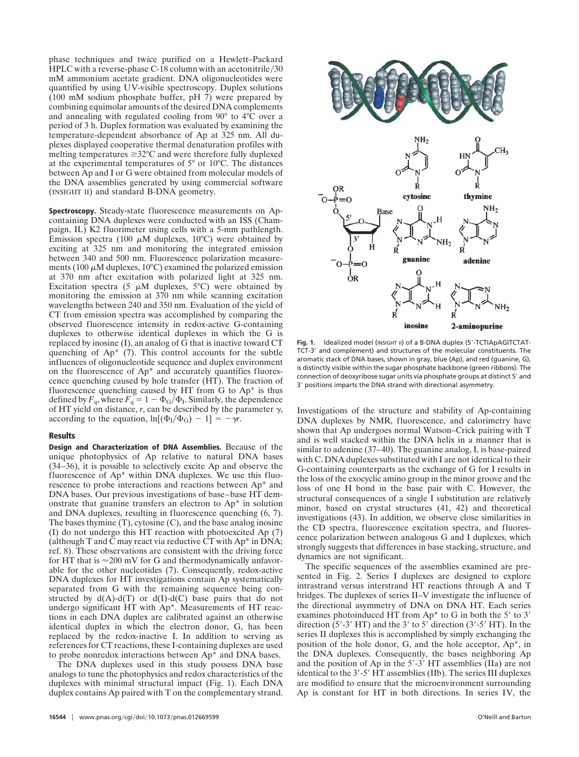phase techniques and twice purified on a Hewlett–Packard HPLC with a reverse-phase C-18 column with an acetonitrile/30 mM ammonium acetate gradient. DNA oligonucleotides were quantified by using UV-visible spectroscopy. Duplex solutions (100 mM sodium phosphate buffer, pH 7) were prepared by combining equimolar amounts of the desired DNA complements and annealing with regulated cooling from 90° to 4°C over a period of 3 h. Duplex formation was evaluated by examining the temperature-dependent absorbance of Ap at 325 nm. All duplexes displayed cooperative thermal denaturation profiles with melting temperatures  $\geq 32^{\circ}$ C and were therefore fully duplexed at the experimental temperatures of 5° or 10°C. The distances between Ap and I or G were obtained from molecular models of the DNA assemblies generated by using commercial software (INSIGHT II) and standard B-DNA geometry.

**Spectroscopy.** Steady-state fluorescence measurements on Apcontaining DNA duplexes were conducted with an ISS (Champaign, IL) K2 fluorimeter using cells with a 5-mm pathlength. Emission spectra (100  $\mu$ M duplexes, 10°C) were obtained by exciting at 325 nm and monitoring the integrated emission between 340 and 500 nm. Fluorescence polarization measurements (100  $\mu$ M duplexes, 10°C) examined the polarized emission at 370 nm after excitation with polarized light at 325 nm. Excitation spectra (5  $\mu$ M duplexes, 5°C) were obtained by monitoring the emission at 370 nm while scanning excitation wavelengths between 240 and 350 nm. Evaluation of the yield of CT from emission spectra was accomplished by comparing the observed fluorescence intensity in redox-active G-containing duplexes to otherwise identical duplexes in which the G is replaced by inosine (I), an analog of G that is inactive toward CT quenching of  $Ap^*$  (7). This control accounts for the subtle influences of oligonucleotide sequence and duplex environment on the fluorescence of Ap\* and accurately quantifies fluorescence quenching caused by hole transfer (HT). The fraction of fluorescence quenching caused by  $HT$  from  $G$  to  $Ap^*$  is thus defined by  $F_{\rm q}$ , where  $F_{\rm q} = 1 - \Phi_{\rm G}/\Phi_{\rm I}$ . Similarly, the dependence of HT yield on distance,  $r$ , can be described by the parameter  $\gamma$ , according to the equation,  $\ln[(\Phi_I/\Phi_G) - 1] = -\gamma r$ .

#### **Results**

**Design and Characterization of DNA Assemblies.** Because of the unique photophysics of Ap relative to natural DNA bases (34–36), it is possible to selectively excite Ap and observe the fluorescence of Ap\* within DNA duplexes. We use this fluorescence to probe interactions and reactions between Ap\* and DNA bases. Our previous investigations of base–base HT demonstrate that guanine transfers an electron to Ap\* in solution and DNA duplexes, resulting in fluorescence quenching (6, 7). The bases thymine (T), cytosine (C), and the base analog inosine (I) do not undergo this HT reaction with photoexcited Ap (7) (although T and C may react via reductive CT with Ap\* in DNA; ref. 8). These observations are consistent with the driving force for HT that is  $\approx 200$  mV for G and thermodynamically unfavorable for the other nucleotides (7). Consequently, redox-active DNA duplexes for HT investigations contain Ap systematically separated from G with the remaining sequence being constructed by  $d(A)-d(T)$  or  $d(I)-d(C)$  base pairs that do not undergo significant HT with Ap\*. Measurements of HT reactions in each DNA duplex are calibrated against an otherwise identical duplex in which the electron donor, G, has been replaced by the redox-inactive I. In addition to serving as references for CT reactions, these I-containing duplexes are used to probe nonredox interactions between Ap\* and DNA bases.

The DNA duplexes used in this study possess DNA base analogs to tune the photophysics and redox characteristics of the duplexes with minimal structural impact (Fig. 1). Each DNA duplex contains Ap paired with T on the complementary strand.



Fig. 1. Idealized model (INSIGHT II) of a B-DNA duplex (5'-TCTIApAGITCTAT-TCT-3' and complement) and structures of the molecular constituents. The aromatic stack of DNA bases, shown in gray, blue (Ap), and red (guanine, G), is distinctly visible within the sugar phosphate backbone (green ribbons). The connection of deoxyribose sugar units via phosphate groups at distinct 5' and 3' positions imparts the DNA strand with directional asymmetry.

Investigations of the structure and stability of Ap-containing DNA duplexes by NMR, fluorescence, and calorimetry have shown that Ap undergoes normal Watson–Crick pairing with T and is well stacked within the DNA helix in a manner that is similar to adenine (37–40). The guanine analog, I, is base-paired with C. DNA duplexes substituted with I are not identical to their G-containing counterparts as the exchange of G for I results in the loss of the exocyclic amino group in the minor groove and the loss of one H bond in the base pair with C. However, the structural consequences of a single I substitution are relatively minor, based on crystal structures (41, 42) and theoretical investigations (43). In addition, we observe close similarities in the CD spectra, fluorescence excitation spectra, and fluorescence polarization between analogous G and I duplexes, which strongly suggests that differences in base stacking, structure, and dynamics are not significant.

The specific sequences of the assemblies examined are presented in Fig. 2. Series I duplexes are designed to explore intrastrand versus interstrand HT reactions through A and T bridges. The duplexes of series II–V investigate the influence of the directional asymmetry of DNA on DNA HT. Each series examines photoinduced HT from  $Ap^*$  to G in both the 5' to 3' direction (5'-3' HT) and the 3' to 5' direction (3'-5' HT). In the series II duplexes this is accomplished by simply exchanging the position of the hole donor, G, and the hole acceptor, Ap\*, in the DNA duplexes. Consequently, the bases neighboring Ap and the position of Ap in the  $5'$ -3' HT assemblies (IIa) are not identical to the 3-5 HT assemblies (IIb). The series III duplexes are modified to ensure that the microenvironment surrounding Ap is constant for HT in both directions. In series IV, the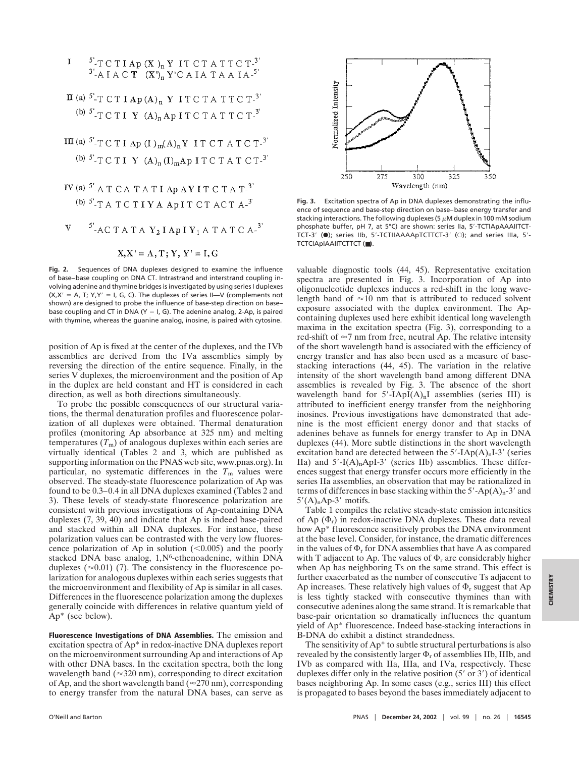

**Fig. 2.** Sequences of DNA duplexes designed to examine the influence of base–base coupling on DNA CT. Intrastrand and interstrand coupling involving adenine and thymine bridges is investigated by using series I duplexes  $(X, X' = A, T; Y, Y' = I, G, C)$ . The duplexes of series II—V (complements not shown) are designed to probe the influence of base-step direction on base– base coupling and CT in DNA ( $Y = I$ , G). The adenine analog, 2-Ap, is paired with thymine, whereas the guanine analog, inosine, is paired with cytosine.

position of Ap is fixed at the center of the duplexes, and the IVb assemblies are derived from the IVa assemblies simply by reversing the direction of the entire sequence. Finally, in the series V duplexes, the microenvironment and the position of Ap in the duplex are held constant and HT is considered in each direction, as well as both directions simultaneously.

To probe the possible consequences of our structural variations, the thermal denaturation profiles and fluorescence polarization of all duplexes were obtained. Thermal denaturation profiles (monitoring Ap absorbance at 325 nm) and melting temperatures  $(T_m)$  of analogous duplexes within each series are virtually identical (Tables 2 and 3, which are published as supporting information on the PNAS web site, www.pnas.org). In particular, no systematic differences in the  $T<sub>m</sub>$  values were observed. The steady-state fluorescence polarization of Ap was found to be 0.3–0.4 in all DNA duplexes examined (Tables 2 and 3). These levels of steady-state fluorescence polarization are consistent with previous investigations of Ap-containing DNA duplexes (7, 39, 40) and indicate that Ap is indeed base-paired and stacked within all DNA duplexes. For instance, these polarization values can be contrasted with the very low fluorescence polarization of Ap in solution  $(<0.005$ ) and the poorly stacked DNA base analog, 1,N<sup>6</sup>-ethenoadenine, within DNA duplexes ( $\approx$ 0.01) (7). The consistency in the fluorescence polarization for analogous duplexes within each series suggests that the microenvironment and flexibility of Ap is similar in all cases. Differences in the fluorescence polarization among the duplexes generally coincide with differences in relative quantum yield of Ap\* (see below).

**Fluorescence Investigations of DNA Assemblies.** The emission and excitation spectra of Ap\* in redox-inactive DNA duplexes report on the microenvironment surrounding Ap and interactions of Ap with other DNA bases. In the excitation spectra, both the long wavelength band ( $\approx$ 320 nm), corresponding to direct excitation of Ap, and the short wavelength band ( $\approx$ 270 nm), corresponding to energy transfer from the natural DNA bases, can serve as



**Fig. 3.** Excitation spectra of Ap in DNA duplexes demonstrating the influence of sequence and base-step direction on base–base energy transfer and stacking interactions. The following duplexes (5  $\mu$ M duplex in 100 mM sodium phosphate buffer, pH 7, at 5°C) are shown: series IIa, 5'-TCTIApAAAIITCT-TCT-3' (<sup>o</sup>); series IIb, 5'-TCTIIAAAApTCTTCT-3' (○); and series IIIa, 5'-TCTCIApIAAIITCTTCT (■).

valuable diagnostic tools (44, 45). Representative excitation spectra are presented in Fig. 3. Incorporation of Ap into oligonucleotide duplexes induces a red-shift in the long wavelength band of  $\approx 10$  nm that is attributed to reduced solvent exposure associated with the duplex environment. The Apcontaining duplexes used here exhibit identical long wavelength maxima in the excitation spectra (Fig. 3), corresponding to a red-shift of  $\approx$ 7 nm from free, neutral Ap. The relative intensity of the short wavelength band is associated with the efficiency of energy transfer and has also been used as a measure of basestacking interactions (44, 45). The variation in the relative intensity of the short wavelength band among different DNA assemblies is revealed by Fig. 3. The absence of the short wavelength band for  $5'$ -IApI $(A)<sub>n</sub>I$  assemblies (series III) is attributed to inefficient energy transfer from the neighboring inosines. Previous investigations have demonstrated that adenine is the most efficient energy donor and that stacks of adenines behave as funnels for energy transfer to Ap in DNA duplexes (44). More subtle distinctions in the short wavelength excitation band are detected between the  $5'-IAp(A)<sub>n</sub>I-3'$  (series IIa) and  $5'-I(A)_nApI-3'$  (series IIb) assemblies. These differences suggest that energy transfer occurs more efficiently in the series IIa assemblies, an observation that may be rationalized in terms of differences in base stacking within the  $5'$ -Ap(A)<sub>n</sub>-3' and  $5'(A)<sub>n</sub>Ap-3'$  motifs.

Table 1 compiles the relative steady-state emission intensities of Ap  $(\Phi_r)$  in redox-inactive DNA duplexes. These data reveal how Ap\* fluorescence sensitively probes the DNA environment at the base level. Consider, for instance, the dramatic differences in the values of  $\Phi_r$  for DNA assemblies that have A as compared with T adjacent to Ap. The values of  $\Phi_r$  are considerably higher when Ap has neighboring Ts on the same strand. This effect is further exacerbated as the number of consecutive Ts adjacent to Ap increases. These relatively high values of  $\Phi_r$  suggest that Ap is less tightly stacked with consecutive thymines than with consecutive adenines along the same strand. It is remarkable that base-pair orientation so dramatically influences the quantum yield of Ap\* fluorescence. Indeed base-stacking interactions in B-DNA do exhibit a distinct strandedness.

The sensitivity of Ap<sup>\*</sup> to subtle structural perturbations is also revealed by the consistently larger  $\Phi_r$  of assemblies IIb, IIIb, and IVb as compared with IIa, IIIa, and IVa, respectively. These duplexes differ only in the relative position  $(5'$  or  $3')$  of identical bases neighboring Ap. In some cases (e.g., series III) this effect is propagated to bases beyond the bases immediately adjacent to **CHEMISTRY**

**CHEMISTRY**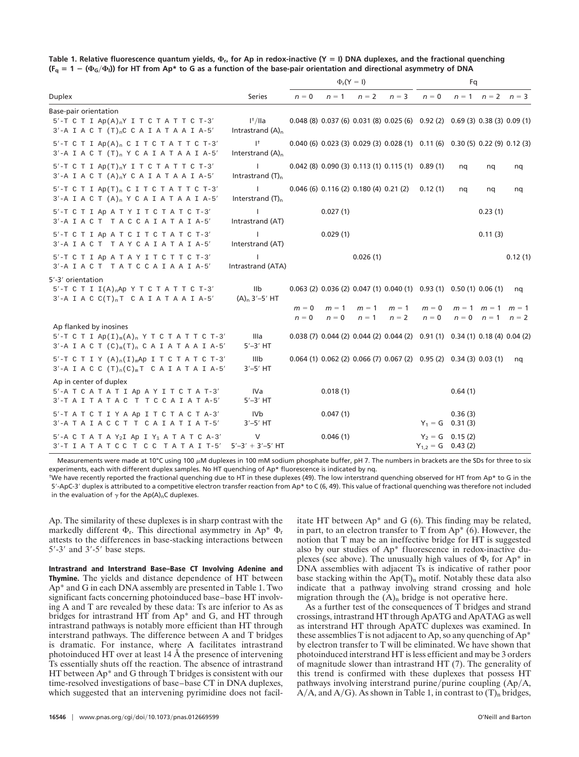| Table 1. Relative fluorescence quantum yields, $\Phi_r$ , for Ap in redox-inactive (Y = I) DNA duplexes, and the fractional quenching |
|---------------------------------------------------------------------------------------------------------------------------------------|
| $(F_q = 1 - (\Phi_G/\Phi_l))$ for HT from Ap* to G as a function of the base-pair orientation and directional asymmetry of DNA        |

| <b>Duplex</b>                                                         | <b>Series</b>                  | $\Phi_r(Y=1)$      |                    |                  |                                                                                             | Fq                      |                         |                                                    |         |
|-----------------------------------------------------------------------|--------------------------------|--------------------|--------------------|------------------|---------------------------------------------------------------------------------------------|-------------------------|-------------------------|----------------------------------------------------|---------|
|                                                                       |                                | $n = 0$            | $n=1$              | $n = 2$          | $n = 3$                                                                                     | $n = 0$                 |                         | $n = 1$ $n = 2$ $n = 3$                            |         |
| Base-pair orientation                                                 |                                |                    |                    |                  |                                                                                             |                         |                         |                                                    |         |
| $5'$ -T C T I Ap $(A)_{n}$ Y I T C T A T T C T-3'                     | $I^+/IIa$                      |                    |                    |                  | $0.048(8)$ $0.037(6)$ $0.031(8)$ $0.025(6)$ $0.92(2)$ $0.69(3)$ $0.38(3)$ $0.09(1)$         |                         |                         |                                                    |         |
| $3'-A$ I A C T $(T)_nC$ C A I A T A A I A-5'                          | Intrastrand (A) <sub>n</sub>   |                    |                    |                  |                                                                                             |                         |                         |                                                    |         |
| $5'$ -T C T I Ap $(A)$ <sub>n</sub> C I T C T A T T C T-3'            | $1^+$                          |                    |                    |                  | $0.040$ (6) $0.023$ (3) $0.029$ (3) $0.028$ (1) $0.11$ (6) $0.30$ (5) $0.22$ (9) $0.12$ (3) |                         |                         |                                                    |         |
| $3'-A$ IACT $(T)_n$ YCAIATAAIA-5'                                     | Interstrand $(A)n$             |                    |                    |                  |                                                                                             |                         |                         |                                                    |         |
| $5'$ -T C T I Ap $(T)_{n}$ Y I T C T A T T C T-3'                     | $\mathbf{I}$                   |                    |                    |                  | $0.042$ (8) $0.090$ (3) $0.113$ (1) $0.115$ (1) $0.89$ (1)                                  |                         | nq                      | nq                                                 | nq      |
| $3'-A$ I A C T $(A)nY$ C A I A T A A I A-5'                           | Intrastrand $(T)_{n}$          |                    |                    |                  |                                                                                             |                         |                         |                                                    |         |
| $5'$ -T C T I Ap $(T)$ <sub>n</sub> C I T C T A T T C T-3'            | $\mathbf{I}$                   |                    |                    |                  | $0.046$ (6) $0.116$ (2) $0.180$ (4) $0.21$ (2)                                              | 0.12(1)                 | ng                      | nq                                                 | nq      |
| $3'-A$ IACT $(A)_n$ YCAIATAAIA-5'                                     | Interstrand $(T)$ <sub>n</sub> |                    |                    |                  |                                                                                             |                         |                         |                                                    |         |
| $5'$ -T C T I Ap A T Y I T C T A T C T-3'                             | $\mathbf{I}$                   |                    | 0.027(1)           |                  |                                                                                             |                         |                         | 0.23(1)                                            |         |
| 3'-AIACT TACCAIATAIA-5'                                               | Intrastrand (AT)               |                    |                    |                  |                                                                                             |                         |                         |                                                    |         |
| $5'$ -T C T I Ap A T C I T C T A T C T-3'                             |                                |                    | 0.029(1)           |                  |                                                                                             |                         |                         | 0.11(3)                                            |         |
| 3'-AIACT TAYCAIATAIA-5'                                               | Interstrand (AT)               |                    |                    |                  |                                                                                             |                         |                         |                                                    |         |
| $5'$ -T C T I Ap A T A Y I T C T T C T-3'                             | $\mathbf{I}$                   |                    |                    | 0.026(1)         |                                                                                             |                         |                         |                                                    | 0.12(1) |
| 3'-AIACT TATCCAIAAIA-5'                                               | Intrastrand (ATA)              |                    |                    |                  |                                                                                             |                         |                         |                                                    |         |
| 5'-3' orientation                                                     |                                |                    |                    |                  |                                                                                             |                         |                         |                                                    |         |
| $5'$ -T C T I $I(A)$ <sub>n</sub> Ap Y T C T A T T C T-3'             | llb                            |                    |                    |                  | $0.063$ (2) $0.036$ (2) $0.047$ (1) $0.040$ (1) $0.93$ (1) $0.50$ (1) $0.06$ (1)            |                         |                         |                                                    | nq      |
| $3'-A$ I A C $C(T)_nT$ C A I A T A A I A-5'                           | $(A)_{n}$ 3'-5' HT             |                    |                    |                  |                                                                                             |                         |                         |                                                    |         |
|                                                                       |                                | $m = 0$<br>$n = 0$ | $m = 1$<br>$n = 0$ | $m = 1$<br>$n=1$ | $m = 1$<br>$n = 2$                                                                          | $m = 0$<br>$n = 0$      |                         | $m = 1$ $m = 1$ $m = 1$<br>$n = 0$ $n = 1$ $n = 2$ |         |
| Ap flanked by inosines                                                |                                |                    |                    |                  |                                                                                             |                         |                         |                                                    |         |
| $5'$ -T C T I Ap $(I)_{m}(A)_{n}$ Y T C T A T T C T-3'                | Illa                           |                    |                    |                  | 0.038 (7) 0.044 (2) 0.044 (2) 0.044 (2) 0.91 (1) 0.34 (1) 0.18 (4) 0.04 (2)                 |                         |                         |                                                    |         |
| $3'-A$ I A C T $(C)_{m}(T)_{n}$ C A I A T A A I A-5'                  | $5' - 3'$ HT                   |                    |                    |                  |                                                                                             |                         |                         |                                                    |         |
| 5'-T C T I Y $(A)_n(I)_m$ Ap I T C T A T C T-3'                       | Illb                           |                    |                    |                  | $0.064(1) 0.062(2) 0.066(7) 0.067(2) 0.95(2) 0.34(3) 0.03(1)$                               |                         |                         |                                                    | ng      |
| $3'-A$ I A C C $(T)_n(C)_mT$ C A I A T A I A-5'                       | $3' - 5'$ HT                   |                    |                    |                  |                                                                                             |                         |                         |                                                    |         |
| Ap in center of duplex                                                |                                |                    |                    |                  |                                                                                             |                         |                         |                                                    |         |
| $5'$ -ATCATATIA PAYITCTAT-3'                                          | IVa                            |                    | 0.018(1)           |                  |                                                                                             |                         | 0.64(1)                 |                                                    |         |
| 3'-TAITATAC TTCCAIATA-5'                                              | $5' - 3'$ HT                   |                    |                    |                  |                                                                                             |                         |                         |                                                    |         |
| 5'-TATCTIYAApITCTACTA-3'                                              | <b>IVb</b>                     |                    | 0.047(1)           |                  |                                                                                             |                         | 0.36(3)                 |                                                    |         |
| 3'-ATAIACCTTCAIATIAT-5'                                               | $3'$ -5' HT                    |                    |                    |                  |                                                                                             | $Y_1 = G \quad 0.31(3)$ |                         |                                                    |         |
| $5'$ -A C T A T A Y <sub>2</sub> I Ap I Y <sub>1</sub> A T A T C A-3' | V                              |                    | 0.046(1)           |                  |                                                                                             |                         | $Y_2 = G \quad 0.15(2)$ |                                                    |         |
| 3'-TIATATCC T CC TATAIT-5'                                            | $5' - 3' + 3' - 5'$ HT         |                    |                    |                  |                                                                                             | $Y_{1,2} = G$ 0.43 (2)  |                         |                                                    |         |

Measurements were made at 10°C using 100  $\mu$ M duplexes in 100 mM sodium phosphate buffer, pH 7. The numbers in brackets are the SDs for three to six experiments, each with different duplex samples. No HT quenching of Ap\* fluorescence is indicated by nq.

†We have recently reported the fractional quenching due to HT in these duplexes (49). The low interstrand quenching observed for HT from Ap\* to G in the 5'-ApC-3' duplex is attributed to a competitive electron transfer reaction from Ap\* to C (6, 49). This value of fractional quenching was therefore not included in the evaluation of  $\gamma$  for the Ap(A)<sub>n</sub>C duplexes.

Ap. The similarity of these duplexes is in sharp contrast with the markedly different  $\Phi_r$ . This directional asymmetry in Ap<sup>\*</sup>  $\Phi_r$ attests to the differences in base-stacking interactions between  $5'$ -3' and  $3'$ -5' base steps.

**Intrastrand and Interstrand Base–Base CT Involving Adenine and Thymine.** The yields and distance dependence of HT between Ap\* and G in each DNA assembly are presented in Table 1. Two significant facts concerning photoinduced base–base HT involving A and T are revealed by these data: Ts are inferior to As as bridges for intrastrand HT from Ap\* and G, and HT through intrastrand pathways is notably more efficient than HT through interstrand pathways. The difference between A and T bridges is dramatic. For instance, where A facilitates intrastrand photoinduced HT over at least 14 Å the presence of intervening Ts essentially shuts off the reaction. The absence of intrastrand HT between Ap\* and G through T bridges is consistent with our time-resolved investigations of base–base CT in DNA duplexes, which suggested that an intervening pyrimidine does not facil-

**<sup>16546</sup>** - www.pnas.orgcgidoi10.1073pnas.012669599 O'Neill and Barton

itate HT between Ap\* and G (6). This finding may be related, in part, to an electron transfer to  $T$  from  $Ap^*$  (6). However, the notion that T may be an ineffective bridge for HT is suggested also by our studies of Ap\* fluorescence in redox-inactive duplexes (see above). The unusually high values of  $\Phi_r$  for Ap<sup>\*</sup> in DNA assemblies with adjacent Ts is indicative of rather poor base stacking within the  $Ap(T)_n$  motif. Notably these data also indicate that a pathway involving strand crossing and hole migration through the  $(A)$ <sub>n</sub> bridge is not operative here.

As a further test of the consequences of T bridges and strand crossings, intrastrand HT through ApATG and ApATAG as well as interstrand HT through ApATC duplexes was examined. In these assemblies T is not adjacent to Ap, so any quenching of Ap\* by electron transfer to T will be eliminated. We have shown that photoinduced interstrand HT is less efficient and may be 3 orders of magnitude slower than intrastrand HT (7). The generality of this trend is confirmed with these duplexes that possess HT pathways involving interstrand purine/purine coupling  $(Ap/A,$  $A/A$ , and  $A/G$ ). As shown in Table 1, in contrast to  $(T)_n$  bridges,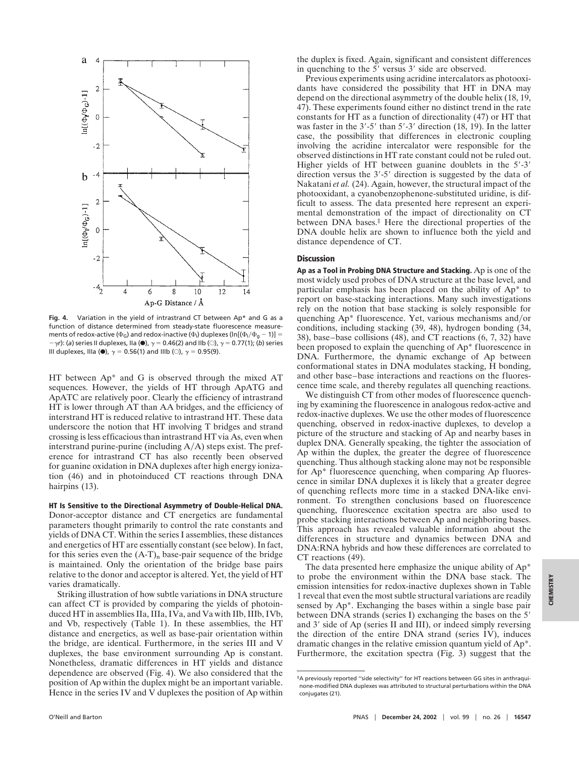

**Fig. 4.** Variation in the yield of intrastrand CT between Ap\* and G as a function of distance determined from steady-state fluorescence measurements of redox-active ( $\Phi_{\mathsf{G}}$ ) and redox-inactive ( $\Phi_{\mathsf{I}}$ ) duplexes (ln[( $\Phi_{\mathsf{I}}/\Phi_{\mathsf{g}}-1$ )] =  $-\gamma$ r): (a) series II duplexes, IIa (.),  $\gamma$  = 0.46(2) and IIb ( $\circ$ ),  $\gamma$  = 0.77(1); (b) series III duplexes, IIIa ( $\bullet$ ),  $\gamma = 0.56(1)$  and IIIb ( $\circ$ ),  $\gamma = 0.95(9)$ .

HT between Ap\* and G is observed through the mixed AT sequences. However, the yields of HT through ApATG and ApATC are relatively poor. Clearly the efficiency of intrastrand HT is lower through AT than AA bridges, and the efficiency of interstrand HT is reduced relative to intrastrand HT. These data underscore the notion that HT involving T bridges and strand crossing is less efficacious than intrastrand HT via As, even when interstrand purine-purine (including  $A/A$ ) steps exist. The preference for intrastrand CT has also recently been observed for guanine oxidation in DNA duplexes after high energy ionization (46) and in photoinduced CT reactions through DNA hairpins  $(13)$ .

**HT Is Sensitive to the Directional Asymmetry of Double-Helical DNA.** Donor-acceptor distance and CT energetics are fundamental parameters thought primarily to control the rate constants and yields of DNA CT. Within the series I assemblies, these distances and energetics of HT are essentially constant (see below). In fact, for this series even the  $(A-T)<sub>n</sub>$  base-pair sequence of the bridge is maintained. Only the orientation of the bridge base pairs relative to the donor and acceptor is altered. Yet, the yield of HT varies dramatically.

Striking illustration of how subtle variations in DNA structure can affect CT is provided by comparing the yields of photoinduced HT in assemblies IIa, IIIa, IVa, and Va with IIb, IIIb, IVb, and Vb, respectively (Table 1). In these assemblies, the HT distance and energetics, as well as base-pair orientation within the bridge, are identical. Furthermore, in the series III and V duplexes, the base environment surrounding Ap is constant. Nonetheless, dramatic differences in HT yields and distance dependence are observed (Fig. 4). We also considered that the position of Ap within the duplex might be an important variable. Hence in the series IV and V duplexes the position of Ap within the duplex is fixed. Again, significant and consistent differences in quenching to the  $5'$  versus  $3'$  side are observed.

Previous experiments using acridine intercalators as photooxidants have considered the possibility that HT in DNA may depend on the directional asymmetry of the double helix (18, 19, 47). These experiments found either no distinct trend in the rate constants for HT as a function of directionality (47) or HT that was faster in the  $3'$ -5' than  $5'$ -3' direction (18, 19). In the latter case, the possibility that differences in electronic coupling involving the acridine intercalator were responsible for the observed distinctions in HT rate constant could not be ruled out. Higher yields of HT between guanine doublets in the 5'-3' direction versus the  $3'$ -5' direction is suggested by the data of Nakatani *et al.* (24). Again, however, the structural impact of the photooxidant, a cyanobenzophenone-substituted uridine, is difficult to assess. The data presented here represent an experimental demonstration of the impact of directionality on CT between DNA bases.‡ Here the directional properties of the DNA double helix are shown to influence both the yield and distance dependence of CT.

#### **Discussion**

**Ap as a Tool in Probing DNA Structure and Stacking.** Ap is one of the most widely used probes of DNA structure at the base level, and particular emphasis has been placed on the ability of Ap\* to report on base-stacking interactions. Many such investigations rely on the notion that base stacking is solely responsible for quenching  $Ap^*$  fluorescence. Yet, various mechanisms and/or conditions, including stacking (39, 48), hydrogen bonding (34, 38), base–base collisions (48), and CT reactions (6, 7, 32) have been proposed to explain the quenching of Ap\* fluorescence in DNA. Furthermore, the dynamic exchange of Ap between conformational states in DNA modulates stacking, H bonding, and other base–base interactions and reactions on the fluorescence time scale, and thereby regulates all quenching reactions.

We distinguish CT from other modes of fluorescence quenching by examining the fluorescence in analogous redox-active and redox-inactive duplexes. We use the other modes of fluorescence quenching, observed in redox-inactive duplexes, to develop a picture of the structure and stacking of Ap and nearby bases in duplex DNA. Generally speaking, the tighter the association of Ap within the duplex, the greater the degree of fluorescence quenching. Thus although stacking alone may not be responsible for Ap\* fluorescence quenching, when comparing Ap fluorescence in similar DNA duplexes it is likely that a greater degree of quenching reflects more time in a stacked DNA-like environment. To strengthen conclusions based on fluorescence quenching, fluorescence excitation spectra are also used to probe stacking interactions between Ap and neighboring bases. This approach has revealed valuable information about the differences in structure and dynamics between DNA and DNA:RNA hybrids and how these differences are correlated to CT reactions (49).

The data presented here emphasize the unique ability of Ap\* to probe the environment within the DNA base stack. The emission intensities for redox-inactive duplexes shown in Table 1 reveal that even the most subtle structural variations are readily sensed by Ap\*. Exchanging the bases within a single base pair between DNA strands (series I) exchanging the bases on the 5' and 3' side of Ap (series II and III), or indeed simply reversing the direction of the entire DNA strand (series IV), induces dramatic changes in the relative emission quantum yield of Ap\*. Furthermore, the excitation spectra (Fig. 3) suggest that the

<sup>‡</sup>A previously reported ''side selectivity'' for HT reactions between GG sites in anthraquinone-modified DNA duplexes was attributed to structural perturbations within the DNA conjugates (21).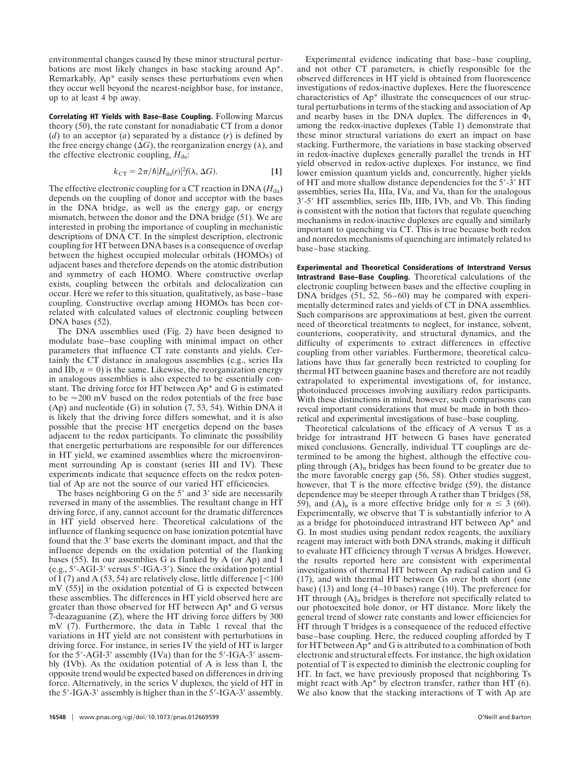environmental changes caused by these minor structural perturbations are most likely changes in base stacking around Ap\*. Remarkably, Ap\* easily senses these perturbations even when they occur well beyond the nearest-neighbor base, for instance, up to at least 4 bp away.

**Correlating HT Yields with Base–Base Coupling.** Following Marcus theory (50), the rate constant for nonadiabatic CT from a donor (*d*) to an acceptor (*a*) separated by a distance (*r*) is defined by the free energy change  $(\Delta G)$ , the reorganization energy  $(\lambda)$ , and the effective electronic coupling,  $H_{\text{da}}$ :

$$
k_{\rm CT} = 2\pi/\hbar |H_{\rm da}(r)|^2 f(\lambda, \Delta G). \tag{1}
$$

The effective electronic coupling for a CT reaction in DNA  $(H_{da})$ depends on the coupling of donor and acceptor with the bases in the DNA bridge, as well as the energy gap, or energy mismatch, between the donor and the DNA bridge (51). We are interested in probing the importance of coupling in mechanistic descriptions of DNA CT. In the simplest description, electronic coupling for HT between DNA bases is a consequence of overlap between the highest occupied molecular orbitals (HOMOs) of adjacent bases and therefore depends on the atomic distribution and symmetry of each HOMO. Where constructive overlap exists, coupling between the orbitals and delocalization can occur. Here we refer to this situation, qualitatively, as base–base coupling. Constructive overlap among HOMOs has been correlated with calculated values of electronic coupling between DNA bases (52).

The DNA assemblies used (Fig. 2) have been designed to modulate base–base coupling with minimal impact on other parameters that influence CT rate constants and yields. Certainly the CT distance in analogous assemblies (e.g., series IIa and IIb,  $n = 0$ ) is the same. Likewise, the reorganization energy in analogous assemblies is also expected to be essentially constant. The driving force for HT between Ap\* and G is estimated to be  $\approx 200$  mV based on the redox potentials of the free base (Ap) and nucleotide (G) in solution (7, 53, 54). Within DNA it is likely that the driving force differs somewhat, and it is also possible that the precise HT energetics depend on the bases adjacent to the redox participants. To eliminate the possibility that energetic perturbations are responsible for our differences in HT yield, we examined assemblies where the microenvironment surrounding Ap is constant (series III and IV). These experiments indicate that sequence effects on the redox potential of Ap are not the source of our varied HT efficiencies.

The bases neighboring G on the  $5'$  and  $3'$  side are necessarily reversed in many of the assemblies. The resultant change in HT driving force, if any, cannot account for the dramatic differences in HT yield observed here. Theoretical calculations of the influence of flanking sequence on base ionization potential have found that the 3' base exerts the dominant impact, and that the influence depends on the oxidation potential of the flanking bases (55). In our assemblies G is flanked by A (or Ap) and I (e.g.,  $5'$ -AGI-3' versus  $5'$ -IGA-3'). Since the oxidation potential of I (7) and A (53, 54) are relatively close, little difference  $\lceil$  < 100 mV (55)] in the oxidation potential of G is expected between these assemblies. The differences in HT yield observed here are greater than those observed for HT between Ap\* and G versus 7-deazaguanine (Z), where the HT driving force differs by 300 mV (7). Furthermore, the data in Table 1 reveal that the variations in HT yield are not consistent with perturbations in driving force. For instance, in series IV the yield of HT is larger for the  $5'$ -AGI-3' assembly (IVa) than for the  $5'$ -IGA-3' assembly (IVb). As the oxidation potential of A is less than I, the opposite trend would be expected based on differences in driving force. Alternatively, in the series V duplexes, the yield of HT in the 5'-IGA-3' assembly is higher than in the 5'-IGA-3' assembly.

Experimental evidence indicating that base–base coupling, and not other CT parameters, is chiefly responsible for the observed differences in HT yield is obtained from fluorescence investigations of redox-inactive duplexes. Here the fluorescence characteristics of Ap\* illustrate the consequences of our structural perturbations in terms of the stacking and association of Ap and nearby bases in the DNA duplex. The differences in  $\Phi_r$ among the redox-inactive duplexes (Table 1) demonstrate that these minor structural variations do exert an impact on base stacking. Furthermore, the variations in base stacking observed in redox-inactive duplexes generally parallel the trends in HT yield observed in redox-active duplexes. For instance, we find lower emission quantum yields and, concurrently, higher yields of HT and more shallow distance dependencies for the 5'-3' HT assemblies, series IIa, IIIa, IVa, and Va, than for the analogous 3-5 HT assemblies, series IIb, IIIb, IVb, and Vb. This finding is consistent with the notion that factors that regulate quenching mechanisms in redox-inactive duplexes are equally and similarly important to quenching via CT. This is true because both redox and nonredox mechanisms of quenching are intimately related to base–base stacking.

**Experimental and Theoretical Considerations of Interstrand Versus Intrastrand Base–Base Coupling.** Theoretical calculations of the electronic coupling between bases and the effective coupling in DNA bridges (51, 52, 56–60) may be compared with experimentally determined rates and yields of CT in DNA assemblies. Such comparisons are approximations at best, given the current need of theoretical treatments to neglect, for instance, solvent, counterions, cooperativity, and structural dynamics, and the difficulty of experiments to extract differences in effective coupling from other variables. Furthermore, theoretical calculations have thus far generally been restricted to coupling for thermal HT between guanine bases and therefore are not readily extrapolated to experimental investigations of, for instance, photoinduced processes involving auxiliary redox participants. With these distinctions in mind, however, such comparisons can reveal important considerations that must be made in both theoretical and experimental investigations of base–base coupling.

Theoretical calculations of the efficacy of A versus T as a bridge for intrastrand HT between G bases have generated mixed conclusions. Generally, individual TT couplings are determined to be among the highest, although the effective coupling through  $(A)$ <sub>n</sub> bridges has been found to be greater due to the more favorable energy gap (56, 58). Other studies suggest, however, that T is the more effective bridge (59), the distance dependence may be steeper through A rather than T bridges (58, 59), and  $(A)$ <sub>n</sub> is a more effective bridge only for  $n \leq 3$  (60). Experimentally, we observe that T is substantially inferior to A as a bridge for photoinduced intrastrand HT between Ap\* and G. In most studies using pendant redox reagents, the auxiliary reagent may interact with both DNA strands, making it difficult to evaluate HT efficiency through T versus A bridges. However, the results reported here are consistent with experimental investigations of thermal HT between Ap radical cation and G (17), and with thermal HT between Gs over both short (one base) (13) and long (4–10 bases) range (10). The preference for HT through  $(A)$ <sub>n</sub> bridges is therefore not specifically related to our photoexcited hole donor, or HT distance. More likely the general trend of slower rate constants and lower efficiencies for HT through T bridges is a consequence of the reduced effective base–base coupling. Here, the reduced coupling afforded by T for HT between Ap\* and G is attributed to a combination of both electronic and structural effects. For instance, the high oxidation potential of T is expected to diminish the electronic coupling for HT. In fact, we have previously proposed that neighboring Ts might react with  $Ap^*$  by electron transfer, rather than  $HT(6)$ . We also know that the stacking interactions of T with Ap are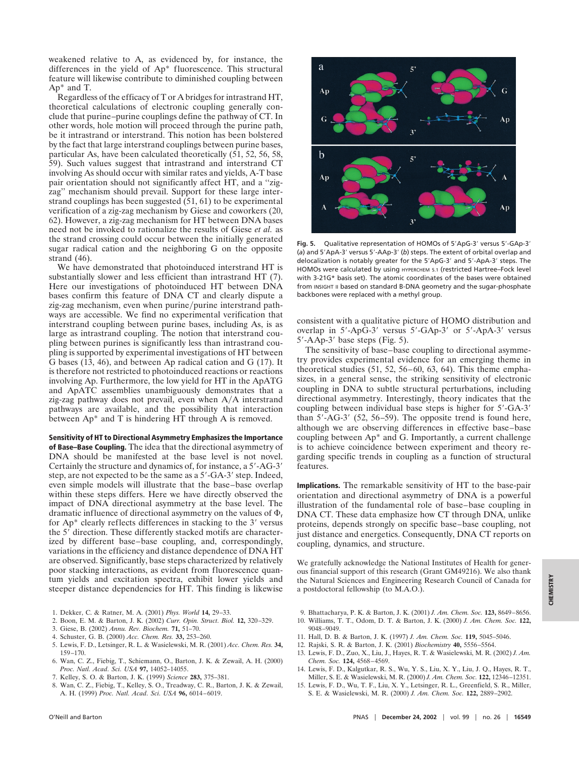weakened relative to A, as evidenced by, for instance, the differences in the yield of Ap\* fluorescence. This structural feature will likewise contribute to diminished coupling between Ap\* and T.

Regardless of the efficacy of T or A bridges for intrastrand HT, theoretical calculations of electronic coupling generally conclude that purine–purine couplings define the pathway of CT. In other words, hole motion will proceed through the purine path, be it intrastrand or interstrand. This notion has been bolstered by the fact that large interstrand couplings between purine bases, particular As, have been calculated theoretically (51, 52, 56, 58, 59). Such values suggest that intrastrand and interstrand CT involving As should occur with similar rates and yields, A-T base pair orientation should not significantly affect HT, and a ''zigzag'' mechanism should prevail. Support for these large interstrand couplings has been suggested (51, 61) to be experimental verification of a zig-zag mechanism by Giese and coworkers (20, 62). However, a zig-zag mechanism for HT between DNA bases need not be invoked to rationalize the results of Giese *et al.* as the strand crossing could occur between the initially generated sugar radical cation and the neighboring G on the opposite strand  $(46)$ .

We have demonstrated that photoinduced interstrand HT is substantially slower and less efficient than intrastrand HT (7). Here our investigations of photoinduced HT between DNA bases confirm this feature of DNA CT and clearly dispute a zig-zag mechanism, even when purine/purine interstrand pathways are accessible. We find no experimental verification that interstrand coupling between purine bases, including As, is as large as intrastrand coupling. The notion that interstrand coupling between purines is significantly less than intrastrand coupling is supported by experimental investigations of HT between G bases (13, 46), and between Ap radical cation and G (17). It is therefore not restricted to photoinduced reactions or reactions involving Ap. Furthermore, the low yield for HT in the ApATG and ApATC assemblies unambiguously demonstrates that a zig-zag pathway does not prevail, even when  $A/A$  interstrand pathways are available, and the possibility that interaction between Ap\* and T is hindering HT through A is removed.

## **Sensitivity of HT to Directional Asymmetry Emphasizes the Importance**

**of Base–Base Coupling.** The idea that the directional asymmetry of DNA should be manifested at the base level is not novel. Certainly the structure and dynamics of, for instance, a 5-AG-3 step, are not expected to be the same as a 5'-GA-3' step. Indeed, even simple models will illustrate that the base–base overlap within these steps differs. Here we have directly observed the impact of DNA directional asymmetry at the base level. The dramatic influence of directional asymmetry on the values of  $\Phi_r$ for  $Ap^*$  clearly reflects differences in stacking to the 3' versus the 5' direction. These differently stacked motifs are characterized by different base–base coupling, and, correspondingly, variations in the efficiency and distance dependence of DNA HT are observed. Significantly, base steps characterized by relatively poor stacking interactions, as evident from fluorescence quantum yields and excitation spectra, exhibit lower yields and steeper distance dependencies for HT. This finding is likewise

- 1. Dekker, C. & Ratner, M. A. (2001) *Phys. World* **14,** 29–33.
- 2. Boon, E. M. & Barton, J. K. (2002) *Curr. Opin. Struct. Biol.* **12,** 320–329.
- 3. Giese, B. (2002) *Annu. Rev. Biochem.* **71,** 51–70.
- 4. Schuster, G. B. (2000) *Acc. Chem. Res.* **33,** 253–260.
- 5. Lewis, F. D., Letsinger, R. L. & Wasielewski, M. R. (2001) *Acc. Chem. Res.* **34,** 159–170.
- 6. Wan, C. Z., Fiebig, T., Schiemann, O., Barton, J. K. & Zewail, A. H. (2000) *Proc. Natl. Acad. Sci. USA* **97,** 14052–14055.
- 7. Kelley, S. O. & Barton, J. K. (1999) *Science* **283,** 375–381.
- 8. Wan, C. Z., Fiebig, T., Kelley, S. O., Treadway, C. R., Barton, J. K. & Zewail, A. H. (1999) *Proc. Natl. Acad. Sci. USA* **96,** 6014–6019.



Fig. 5. Qualitative representation of HOMOs of 5'ApG-3' versus 5'-GAp-3' (a) and 5'ApA-3' versus 5'-AAp-3' (b) steps. The extent of orbital overlap and delocalization is notably greater for the 5'ApG-3' and 5'-ApA-3' steps. The HOMOs were calculated by using HYPERCHEM 5.1 (restricted Hartree–Fock level with 3-21G\* basis set). The atomic coordinates of the bases were obtained from INSIGHT II based on standard B-DNA geometry and the sugar-phosphate backbones were replaced with a methyl group.

consistent with a qualitative picture of HOMO distribution and overlap in 5'-ApG-3' versus 5'-GAp-3' or 5'-ApA-3' versus  $5'$ -AAp-3' base steps (Fig. 5).

The sensitivity of base–base coupling to directional asymmetry provides experimental evidence for an emerging theme in theoretical studies (51, 52, 56–60, 63, 64). This theme emphasizes, in a general sense, the striking sensitivity of electronic coupling in DNA to subtle structural perturbations, including directional asymmetry. Interestingly, theory indicates that the coupling between individual base steps is higher for  $5'-GA-3'$ than  $5'$ -AG-3' (52, 56–59). The opposite trend is found here, although we are observing differences in effective base–base coupling between Ap\* and G. Importantly, a current challenge is to achieve coincidence between experiment and theory regarding specific trends in coupling as a function of structural features.

**Implications.** The remarkable sensitivity of HT to the base-pair orientation and directional asymmetry of DNA is a powerful illustration of the fundamental role of base–base coupling in DNA CT. These data emphasize how CT through DNA, unlike proteins, depends strongly on specific base–base coupling, not just distance and energetics. Consequently, DNA CT reports on coupling, dynamics, and structure.

We gratefully acknowledge the National Institutes of Health for generous financial support of this research (Grant GM49216). We also thank the Natural Sciences and Engineering Research Council of Canada for a postdoctoral fellowship (to M.A.O.).

- 9. Bhattacharya, P. K. & Barton, J. K. (2001) *J. Am. Chem. Soc.* **123,** 8649–8656.
- 10. Williams, T. T., Odom, D. T. & Barton, J. K. (2000) *J. Am. Chem. Soc.* **122,** 9048–9049.
- 11. Hall, D. B. & Barton, J. K. (1997) *J. Am. Chem. Soc.* **119,** 5045–5046.
- 12. Rajski, S. R. & Barton, J. K. (2001) *Biochemistry* **40,** 5556–5564.
- 13. Lewis, F. D., Zuo, X., Liu, J., Hayes, R. T. & Wasielewski, M. R. (2002) *J. Am. Chem. Soc.* **124,** 4568–4569.
- 14. Lewis, F. D., Kalgutkar, R. S., Wu, Y. S., Liu, X. Y., Liu, J. Q., Hayes, R. T., Miller, S. E. & Wasielewski, M. R. (2000) *J. Am. Chem. Soc.* **122,** 12346–12351.
- 15. Lewis, F. D., Wu, T. F., Liu, X. Y., Letsinger, R. L., Greenfield, S. R., Miller, S. E. & Wasielewski, M. R. (2000) *J. Am. Chem. Soc.* **122,** 2889–2902.